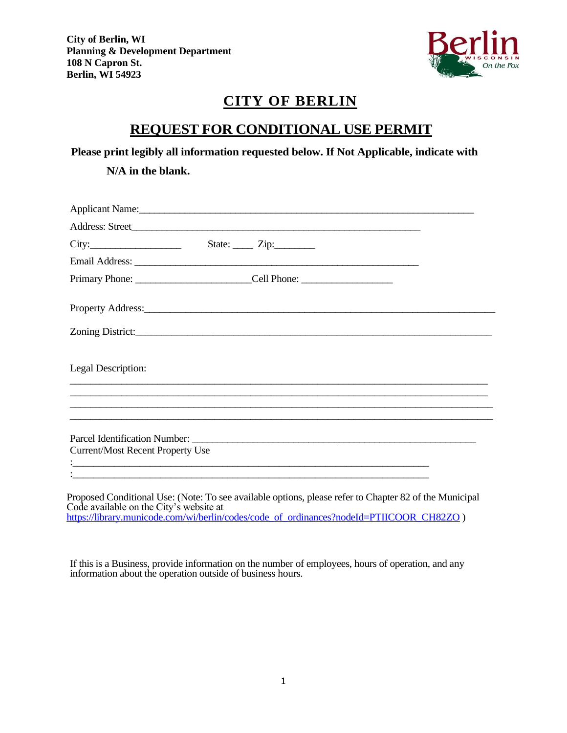

# **CITY OF BERLIN**

## **REQUEST FOR CONDITIONAL USE PERMIT**

**Please print legibly all information requested below. If Not Applicable, indicate with** 

**N/A in the blank.**

| Applicant Name: 1988. [19] Applicant Name:                                                                                                                                                                                     |                                    |  |  |
|--------------------------------------------------------------------------------------------------------------------------------------------------------------------------------------------------------------------------------|------------------------------------|--|--|
|                                                                                                                                                                                                                                |                                    |  |  |
| City:                                                                                                                                                                                                                          | State: <u>_____</u> Zip: _________ |  |  |
|                                                                                                                                                                                                                                |                                    |  |  |
| Primary Phone: ______________________________Cell Phone: ________________________                                                                                                                                              |                                    |  |  |
| Property Address: 2008. The Contract of the Contract of the Contract of the Contract of the Contract of the Contract of the Contract of the Contract of the Contract of the Contract of the Contract of the Contract of the Co |                                    |  |  |
|                                                                                                                                                                                                                                |                                    |  |  |
| Legal Description:                                                                                                                                                                                                             |                                    |  |  |
|                                                                                                                                                                                                                                |                                    |  |  |
|                                                                                                                                                                                                                                |                                    |  |  |
| <b>Current/Most Recent Property Use</b>                                                                                                                                                                                        |                                    |  |  |
|                                                                                                                                                                                                                                |                                    |  |  |

Proposed Conditional Use: (Note: To see available options, please refer to Chapter 82 of the Municipal Code available on the City's website at [https://library.municode.com/wi/berlin/codes/code\\_of\\_ordinances?nodeId=PTIICOOR\\_CH82ZO](https://library.municode.com/wi/berlin/codes/code_of_ordinances?nodeId=PTIICOOR_CH82ZO) )

If this is a Business, provide information on the number of employees, hours of operation, and any information about the operation outside of business hours.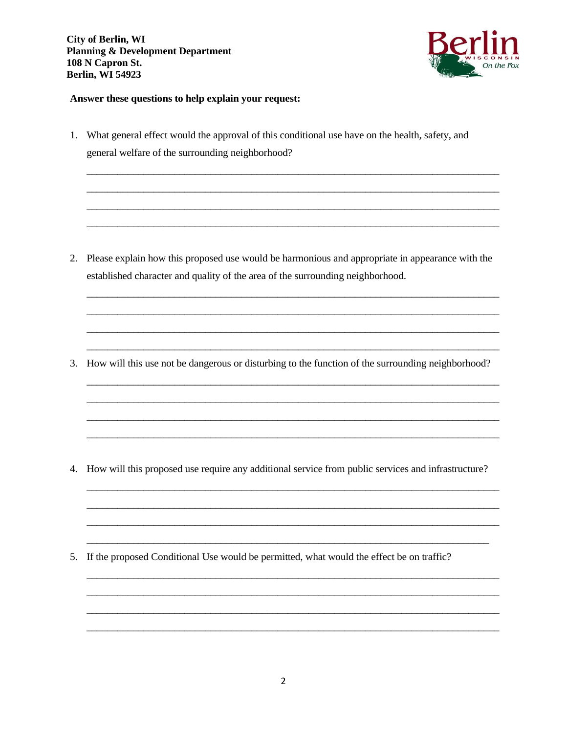**City of Berlin, WI Planning & Development Department** 108 N Capron St. **Berlin, WI 54923** 



#### Answer these questions to help explain your request:

1. What general effect would the approval of this conditional use have on the health, safety, and general welfare of the surrounding neighborhood?

2. Please explain how this proposed use would be harmonious and appropriate in appearance with the established character and quality of the area of the surrounding neighborhood.

3. How will this use not be dangerous or disturbing to the function of the surrounding neighborhood?

4. How will this proposed use require any additional service from public services and infrastructure?

5. If the proposed Conditional Use would be permitted, what would the effect be on traffic?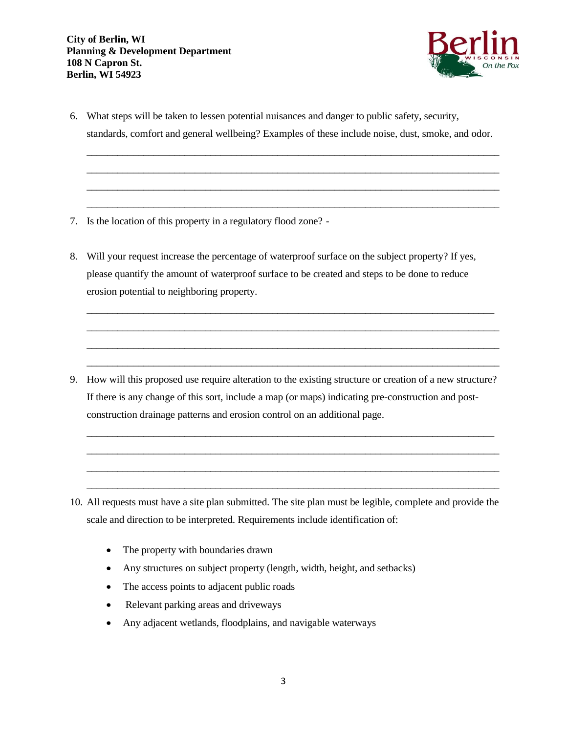

6. What steps will be taken to lessen potential nuisances and danger to public safety, security, standards, comfort and general wellbeing? Examples of these include noise, dust, smoke, and odor.

\_\_\_\_\_\_\_\_\_\_\_\_\_\_\_\_\_\_\_\_\_\_\_\_\_\_\_\_\_\_\_\_\_\_\_\_\_\_\_\_\_\_\_\_\_\_\_\_\_\_\_\_\_\_\_\_\_\_\_\_\_\_\_\_\_\_\_\_\_\_\_\_\_\_\_\_\_\_\_\_ \_\_\_\_\_\_\_\_\_\_\_\_\_\_\_\_\_\_\_\_\_\_\_\_\_\_\_\_\_\_\_\_\_\_\_\_\_\_\_\_\_\_\_\_\_\_\_\_\_\_\_\_\_\_\_\_\_\_\_\_\_\_\_\_\_\_\_\_\_\_\_\_\_\_\_\_\_\_\_\_ \_\_\_\_\_\_\_\_\_\_\_\_\_\_\_\_\_\_\_\_\_\_\_\_\_\_\_\_\_\_\_\_\_\_\_\_\_\_\_\_\_\_\_\_\_\_\_\_\_\_\_\_\_\_\_\_\_\_\_\_\_\_\_\_\_\_\_\_\_\_\_\_\_\_\_\_\_\_\_\_ \_\_\_\_\_\_\_\_\_\_\_\_\_\_\_\_\_\_\_\_\_\_\_\_\_\_\_\_\_\_\_\_\_\_\_\_\_\_\_\_\_\_\_\_\_\_\_\_\_\_\_\_\_\_\_\_\_\_\_\_\_\_\_\_\_\_\_\_\_\_\_\_\_\_\_\_\_\_\_\_

- 7. Is the location of this property in a regulatory flood zone? -
- 8. Will your request increase the percentage of waterproof surface on the subject property? If yes, please quantify the amount of waterproof surface to be created and steps to be done to reduce erosion potential to neighboring property.

\_\_\_\_\_\_\_\_\_\_\_\_\_\_\_\_\_\_\_\_\_\_\_\_\_\_\_\_\_\_\_\_\_\_\_\_\_\_\_\_\_\_\_\_\_\_\_\_\_\_\_\_\_\_\_\_\_\_\_\_\_\_\_\_\_\_\_\_\_\_\_\_\_\_\_\_\_\_\_ \_\_\_\_\_\_\_\_\_\_\_\_\_\_\_\_\_\_\_\_\_\_\_\_\_\_\_\_\_\_\_\_\_\_\_\_\_\_\_\_\_\_\_\_\_\_\_\_\_\_\_\_\_\_\_\_\_\_\_\_\_\_\_\_\_\_\_\_\_\_\_\_\_\_\_\_\_\_\_\_ \_\_\_\_\_\_\_\_\_\_\_\_\_\_\_\_\_\_\_\_\_\_\_\_\_\_\_\_\_\_\_\_\_\_\_\_\_\_\_\_\_\_\_\_\_\_\_\_\_\_\_\_\_\_\_\_\_\_\_\_\_\_\_\_\_\_\_\_\_\_\_\_\_\_\_\_\_\_\_\_ \_\_\_\_\_\_\_\_\_\_\_\_\_\_\_\_\_\_\_\_\_\_\_\_\_\_\_\_\_\_\_\_\_\_\_\_\_\_\_\_\_\_\_\_\_\_\_\_\_\_\_\_\_\_\_\_\_\_\_\_\_\_\_\_\_\_\_\_\_\_\_\_\_\_\_\_\_\_\_\_

9. How will this proposed use require alteration to the existing structure or creation of a new structure? If there is any change of this sort, include a map (or maps) indicating pre-construction and postconstruction drainage patterns and erosion control on an additional page.

\_\_\_\_\_\_\_\_\_\_\_\_\_\_\_\_\_\_\_\_\_\_\_\_\_\_\_\_\_\_\_\_\_\_\_\_\_\_\_\_\_\_\_\_\_\_\_\_\_\_\_\_\_\_\_\_\_\_\_\_\_\_\_\_\_\_\_\_\_\_\_\_\_\_\_\_\_\_\_ \_\_\_\_\_\_\_\_\_\_\_\_\_\_\_\_\_\_\_\_\_\_\_\_\_\_\_\_\_\_\_\_\_\_\_\_\_\_\_\_\_\_\_\_\_\_\_\_\_\_\_\_\_\_\_\_\_\_\_\_\_\_\_\_\_\_\_\_\_\_\_\_\_\_\_\_\_\_\_\_ \_\_\_\_\_\_\_\_\_\_\_\_\_\_\_\_\_\_\_\_\_\_\_\_\_\_\_\_\_\_\_\_\_\_\_\_\_\_\_\_\_\_\_\_\_\_\_\_\_\_\_\_\_\_\_\_\_\_\_\_\_\_\_\_\_\_\_\_\_\_\_\_\_\_\_\_\_\_\_\_ \_\_\_\_\_\_\_\_\_\_\_\_\_\_\_\_\_\_\_\_\_\_\_\_\_\_\_\_\_\_\_\_\_\_\_\_\_\_\_\_\_\_\_\_\_\_\_\_\_\_\_\_\_\_\_\_\_\_\_\_\_\_\_\_\_\_\_\_\_\_\_\_\_\_\_\_\_\_\_\_

- 10. All requests must have a site plan submitted. The site plan must be legible, complete and provide the scale and direction to be interpreted. Requirements include identification of:
	- The property with boundaries drawn
	- Any structures on subject property (length, width, height, and setbacks)
	- The access points to adjacent public roads
	- Relevant parking areas and driveways
	- Any adjacent wetlands, floodplains, and navigable waterways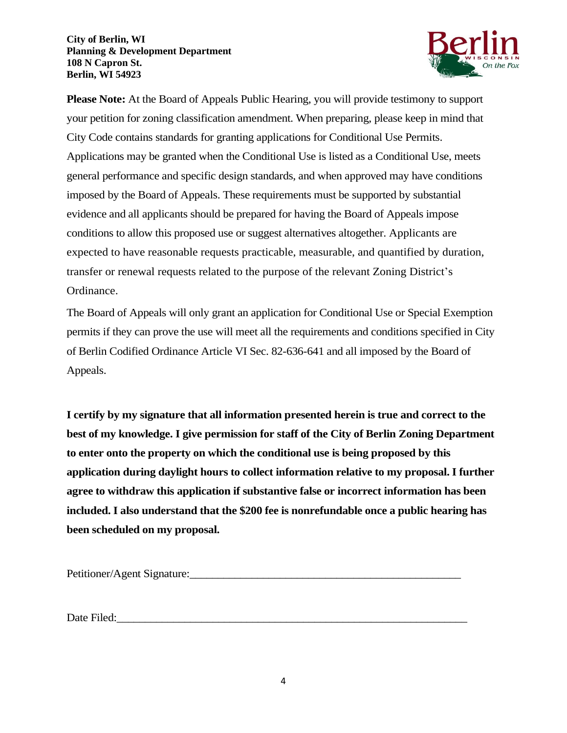#### **City of Berlin, WI Planning & Development Department 108 N Capron St. Berlin, WI 54923**



 conditions to allow this proposed use or suggest alternatives altogether. Applicants are **Please Note:** At the Board of Appeals Public Hearing, you will provide testimony to support your petition for zoning classification amendment. When preparing, please keep in mind that City Code contains standards for granting applications for Conditional Use Permits. Applications may be granted when the Conditional Use is listed as a Conditional Use, meets general performance and specific design standards, and when approved may have conditions imposed by the Board of Appeals. These requirements must be supported by substantial evidence and all applicants should be prepared for having the Board of Appeals impose expected to have reasonable requests practicable, measurable, and quantified by duration, transfer or renewal requests related to the purpose of the relevant Zoning District's Ordinance.

The Board of Appeals will only grant an application for Conditional Use or Special Exemption permits if they can prove the use will meet all the requirements and conditions specified in City of Berlin Codified Ordinance Article VI Sec. 82-636-641 and all imposed by the Board of Appeals.

**I certify by my signature that all information presented herein is true and correct to the best of my knowledge. I give permission for staff of the City of Berlin Zoning Department to enter onto the property on which the conditional use is being proposed by this application during daylight hours to collect information relative to my proposal. I further agree to withdraw this application if substantive false or incorrect information has been included. I also understand that the \$200 fee is nonrefundable once a public hearing has been scheduled on my proposal.**

Petitioner/Agent Signature:

Date Filed: